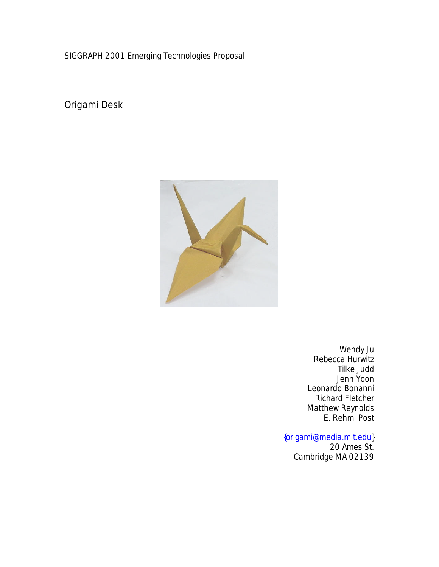SIGGRAPH 2001 Emerging Technologies Proposal

Origami Desk



Wendy Ju Rebecca Hurwitz Tilke Judd Jenn Yoon Leonardo Bonanni Richard Fletcher Matthew Reynolds E. Rehmi Post

#### {origami@media.mit.edu}

20 Ames St. Cambridge MA 02139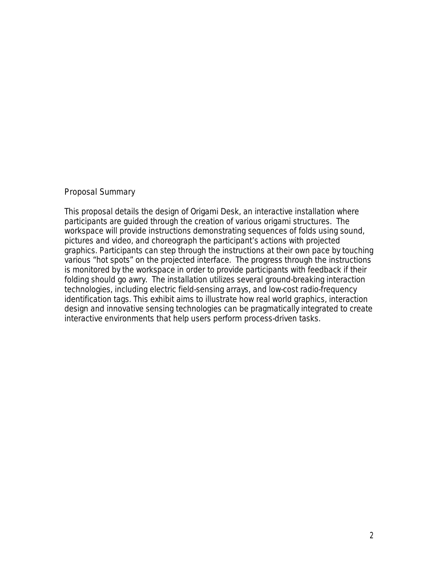## Proposal Summary

This proposal details the design of Origami Desk, an interactive installation where participants are guided through the creation of various origami structures. The workspace will provide instructions demonstrating sequences of folds using sound, pictures and video, and choreograph the participant's actions with projected graphics. Participants can step through the instructions at their own pace by touching various "hot spots" on the projected interface. The progress through the instructions is monitored by the workspace in order to provide participants with feedback if their folding should go awry. The installation utilizes several ground-breaking interaction technologies, including electric field-sensing arrays, and low-cost radio-frequency identification tags. This exhibit aims to illustrate how real world graphics, interaction design and innovative sensing technologies can be pragmatically integrated to create interactive environments that help users perform process-driven tasks.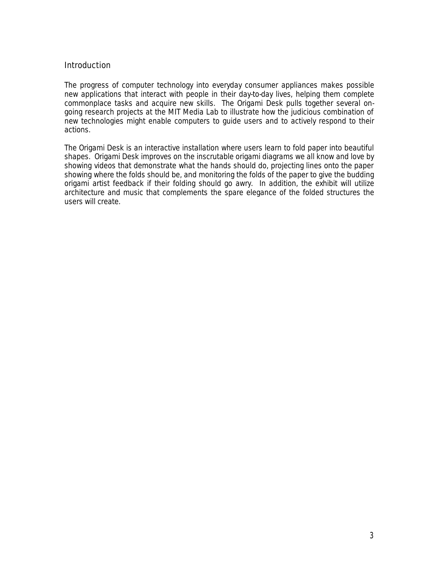### **Introduction**

The progress of computer technology into everyday consumer appliances makes possible new applications that interact with people in their day-to-day lives, helping them complete commonplace tasks and acquire new skills. The Origami Desk pulls together several ongoing research projects at the MIT Media Lab to illustrate how the judicious combination of new technologies might enable computers to guide users and to actively respond to their actions.

The Origami Desk is an interactive installation where users learn to fold paper into beautiful shapes. Origami Desk improves on the inscrutable origami diagrams we all know and love by showing videos that demonstrate what the hands should do, projecting lines onto the paper showing where the folds should be, and monitoring the folds of the paper to give the budding origami artist feedback if their folding should go awry. In addition, the exhibit will utilize architecture and music that complements the spare elegance of the folded structures the users will create.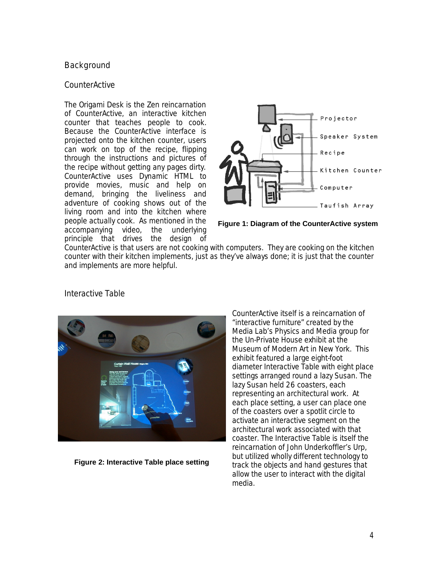## **Background**

### **CounterActive**

The Origami Desk is the Zen reincarnation of CounterActive, an interactive kitchen counter that teaches people to cook. Because the CounterActive interface is projected onto the kitchen counter, users can work on top of the recipe, flipping through the instructions and pictures of the recipe without getting any pages dirty. CounterActive uses Dynamic HTML to provide movies, music and help on demand, bringing the liveliness and adventure of cooking shows out of the living room and into the kitchen where people actually cook. As mentioned in the accompanying video, the underlying principle that drives the design of



**Figure 1: Diagram of the CounterActive system**

CounterActive is that users are *not* cooking with computers. They are cooking on the kitchen counter with their kitchen implements, just as they've always done; it is just that the counter and implements are more helpful.



Interactive Table

**Figure 2: Interactive Table place setting**

CounterActive itself is a reincarnation of "interactive furniture" created by the Media Lab's Physics and Media group for the Un-Private House exhibit at the Museum of Modern Art in New York. This exhibit featured a large eight-foot diameter Interactive Table with eight place settings arranged round a lazy Susan. The lazy Susan held 26 coasters, each representing an architectural work. At each place setting, a user can place one of the coasters over a spotlit circle to activate an interactive segment on the architectural work associated with that coaster. The Interactive Table is itself the reincarnation of John Underkoffler's Urp, but utilized wholly different technology to track the objects and hand gestures that allow the user to interact with the digital media.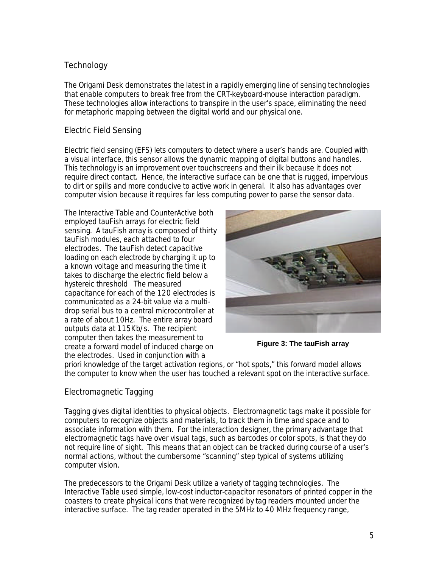# **Technology**

The Origami Desk demonstrates the latest in a rapidly emerging line of sensing technologies that enable computers to break free from the CRT-keyboard-mouse interaction paradigm. These technologies allow interactions to transpire in the user's space, eliminating the need for metaphoric mapping between the digital world and our physical one.

## Electric Field Sensing

Electric field sensing (EFS) lets computers to detect where a user's hands are. Coupled with a visual interface, this sensor allows the dynamic mapping of digital buttons and handles. This technology is an improvement over touchscreens and their ilk because it does not require direct contact. Hence, the interactive surface can be one that is rugged, impervious to dirt or spills and more conducive to active work in general. It also has advantages over computer vision because it requires far less computing power to parse the sensor data.

The Interactive Table and CounterActive both employed tauFish arrays for electric field sensing. A tauFish array is composed of thirty tauFish modules, each attached to four electrodes. The tauFish detect capacitive loading on each electrode by charging it up to a known voltage and measuring the time it takes to discharge the electric field below a hystereic threshold The measured capacitance for each of the 120 electrodes is communicated as a 24-bit value via a multidrop serial bus to a central microcontroller at a rate of about 10Hz. The entire array board outputs data at 115Kb/s. The recipient computer then takes the measurement to create a forward model of induced charge on the electrodes. Used in conjunction with *a* 



**Figure 3: The tauFish array**

*priori* knowledge of the target activation regions, or "hot spots," this forward model allows the computer to know when the user has touched a relevant spot on the interactive surface.

# Electromagnetic Tagging

Tagging gives digital identities to physical objects. Electromagnetic tags make it possible for computers to recognize objects and materials, to track them in time and space and to associate information with them. For the interaction designer, the primary advantage that electromagnetic tags have over visual tags, such as barcodes or color spots, is that they do not require line of sight. This means that an object can be tracked during course of a user's normal actions, without the cumbersome "scanning" step typical of systems utilizing computer vision.

The predecessors to the Origami Desk utilize a variety of tagging technologies. The Interactive Table used simple, low-cost inductor-capacitor resonators of printed copper in the coasters to create physical icons that were recognized by tag readers mounted under the interactive surface. The tag reader operated in the 5MHz to 40 MHz frequency range,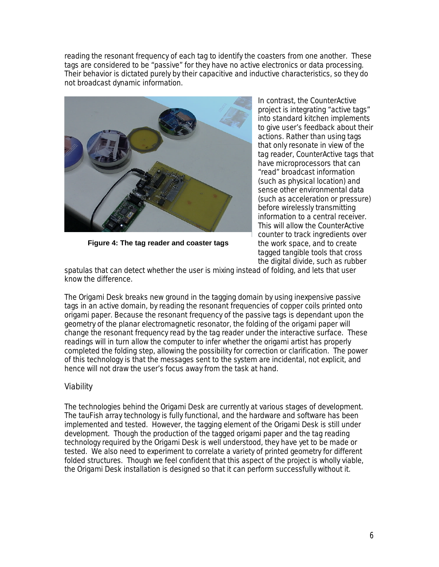reading the resonant frequency of each tag to identify the coasters from one another. These tags are considered to be "passive" for they have no active electronics or data processing. Their behavior is dictated purely by their capacitive and inductive characteristics, so they do not broadcast dynamic information.



**Figure 4: The tag reader and coaster tags**

In contrast, the CounterActive project is integrating "active tags" into standard kitchen implements to give user's feedback about their actions. Rather than using tags that only resonate in view of the tag reader, CounterActive tags that have microprocessors that can "read" broadcast information (such as physical location) and sense other environmental data (such as acceleration or pressure) before wirelessly transmitting information to a central receiver. This will allow the CounterActive counter to track ingredients over the work space, and to create tagged tangible tools that cross the digital divide, such as rubber

spatulas that can detect whether the user is mixing instead of folding, and lets that user know the difference.

The Origami Desk breaks new ground in the tagging domain by using inexpensive passive tags in an active domain, by reading the resonant frequencies of copper coils printed onto origami paper. Because the resonant frequency of the passive tags is dependant upon the geometry of the planar electromagnetic resonator, the folding of the origami paper will change the resonant frequency read by the tag reader under the interactive surface. These readings will in turn allow the computer to infer whether the origami artist has properly completed the folding step, allowing the possibility for correction or clarification. The power of this technology is that the messages sent to the system are incidental, not explicit, and hence will not draw the user's focus away from the task at hand.

## Viability

The technologies behind the Origami Desk are currently at various stages of development. The tauFish array technology is fully functional, and the hardware and software has been implemented and tested. However, the tagging element of the Origami Desk is still under development. Though the production of the tagged origami paper and the tag reading technology required by the Origami Desk is well understood, they have yet to be made or tested. We also need to experiment to correlate a variety of printed geometry for different folded structures. Though we feel confident that this aspect of the project is wholly viable, the Origami Desk installation is designed so that it can perform successfully without it.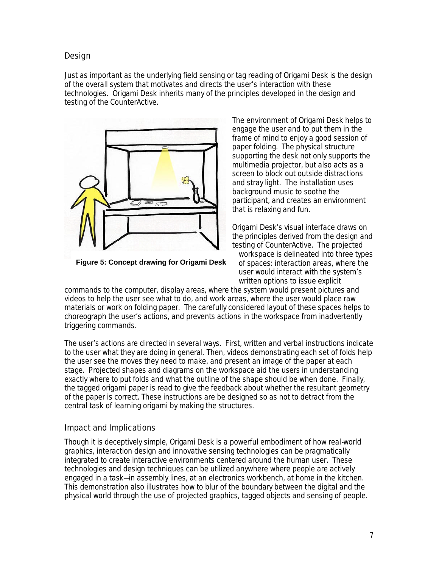# Design

Just as important as the underlying field sensing or tag reading of Origami Desk is the design of the overall system that motivates and directs the user's interaction with these technologies. Origami Desk inherits many of the principles developed in the design and testing of the CounterActive.



**Figure 5: Concept drawing for Origami Desk**

The environment of Origami Desk helps to engage the user and to put them in the frame of mind to enjoy a good session of paper folding. The physical structure supporting the desk not only supports the multimedia projector, but also acts as a screen to block out outside distractions and stray light. The installation uses background music to soothe the participant, and creates an environment that is relaxing and fun.

Origami Desk's visual interface draws on the principles derived from the design and testing of CounterActive. The projected workspace is delineated into three types of spaces: *interaction areas*, where the user would interact with the system's written options to issue explicit

commands to the computer, *display areas*, where the system would present pictures and videos to help the user see what to do, and *work areas*, where the user would place raw materials or work on folding paper. The carefully considered layout of these spaces helps to choreograph the user's actions, and prevents actions in the workspace from inadvertently triggering commands.

The user's actions are directed in several ways. First, written and verbal instructions indicate to the user what they are doing in general. Then, videos demonstrating each set of folds help the user see the moves they need to make, and present an image of the paper at each stage. Projected shapes and diagrams on the workspace aid the users in understanding exactly where to put folds and what the outline of the shape should be when done. Finally, the tagged origami paper is read to give the feedback about whether the resultant geometry of the paper is correct. These instructions are be designed so as not to detract from the central task of learning origami by making the structures.

## Impact and Implications

Though it is deceptively simple, Origami Desk is a powerful embodiment of how real-world graphics, interaction design and innovative sensing technologies can be pragmatically integrated to create interactive environments centered around the human user. These technologies and design techniques can be utilized anywhere where people are actively engaged in a task—in assembly lines, at an electronics workbench, at home in the kitchen. This demonstration also illustrates how to blur of the boundary between the digital and the physical world through the use of projected graphics, tagged objects and sensing of people.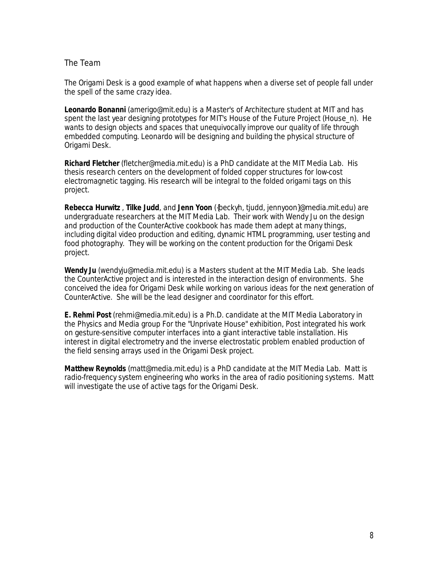### The Team

The Origami Desk is a good example of what happens when a diverse set of people fall under the spell of the same crazy idea.

**Leonardo Bonanni** (amerigo@mit.edu) is a Master's of Architecture student at MIT and has spent the last year designing prototypes for MIT's House of the Future Project (House\_n). He wants to design objects and spaces that unequivocally improve our quality of life through embedded computing. Leonardo will be designing and building the physical structure of Origami Desk.

**Richard Fletcher** (fletcher@media.mit.edu) is a PhD candidate at the MIT Media Lab. His thesis research centers on the development of folded copper structures for low-cost electromagnetic tagging. His research will be integral to the folded origami tags on this project.

**Rebecca Hurwitz** , **Tilke Judd**, and **Jenn Yoon** ({beckyh, tjudd, jennyoon}@media.mit.edu) are undergraduate researchers at the MIT Media Lab. Their work with Wendy Ju on the design and production of the CounterActive cookbook has made them adept at many things, including digital video production and editing, dynamic HTML programming, user testing and food photography. They will be working on the content production for the Origami Desk project.

**Wendy Ju** (wendyju@media.mit.edu) is a Masters student at the MIT Media Lab. She leads the CounterActive project and is interested in the interaction design of environments. She conceived the idea for Origami Desk while working on various ideas for the next generation of CounterActive. She will be the lead designer and coordinator for this effort.

**E. Rehmi Post** (rehmi@media.mit.edu) is a Ph.D. candidate at the MIT Media Laboratory in the Physics and Media group For the "Unprivate House" exhibition, Post integrated his work on gesture-sensitive computer interfaces into a giant interactive table installation. His interest in digital electrometry and the inverse electrostatic problem enabled production of the field sensing arrays used in the Origami Desk project.

**Matthew Reynolds** (matt@media.mit.edu) is a PhD candidate at the MIT Media Lab. Matt is radio-frequency system engineering who works in the area of radio positioning systems. Matt will investigate the use of active tags for the Origami Desk.